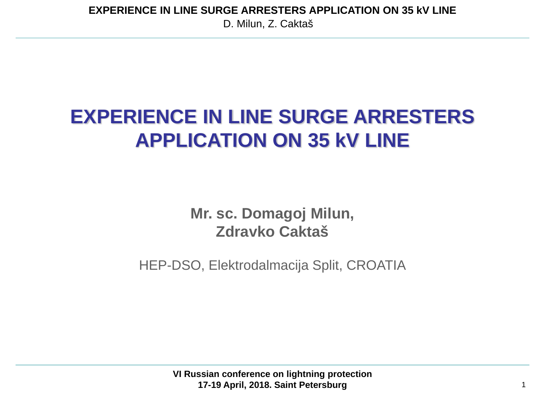**EXPERIENCE IN LINE SURGE ARRESTERS APPLICATION ON 35 kV LINE**

D. Milun, Z. Caktaš

# **EXPERIENCE IN LINE SURGE ARRESTERS APPLICATION ON 35 kV LINE**

**Mr. sc. Domagoj Milun, Zdravko Caktaš**

HEP-DSO, Elektrodalmacija Split, CROATIA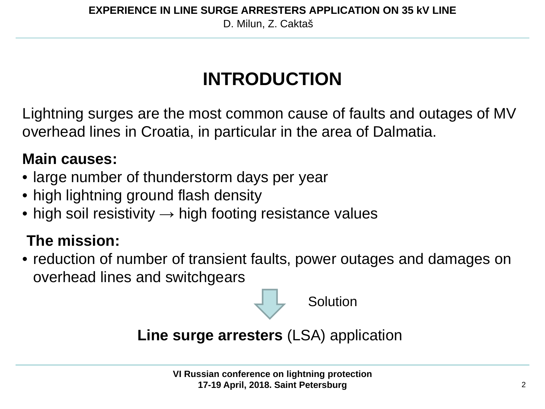# **INTRODUCTION**

Lightning surges are the most common cause of faults and outages of MV overhead lines in Croatia, in particular in the area of Dalmatia.

### **Main causes:**

- large number of thunderstorm days per year
- high lightning ground flash density
- high soil resistivity  $\rightarrow$  high footing resistance values

### **The mission:**

• reduction of number of transient faults, power outages and damages on overhead lines and switchgears



**Line surge arresters** (LSA) application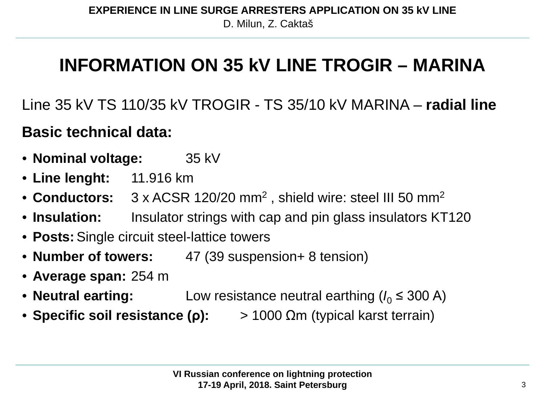## **INFORMATION ON 35 kV LINE TROGIR – MARINA**

Line 35 kV TS 110/35 kV TROGIR - TS 35/10 kV MARINA – **radial line Basic technical data:**

- **Nominal voltage:** 35 kV
- **Line lenght:** 11.916 km
- **Conductors:** 3 x ACSR 120/20 mm2 , shield wire: steel III 50 mm2
- **Insulation:** Insulator strings with cap and pin glass insulators KT120
- **Posts:**Single circuit steel-lattice towers
- **Number of towers:** 47 (39 suspension+ 8 tension)
- **Average span:** 254 m
- **Neutral earting:** Low resistance neutral earthing  $(I_0 \leq 300 \text{ A})$
- **Specific soil resistance (ρ):** > 1000 Ωm (typical karst terrain)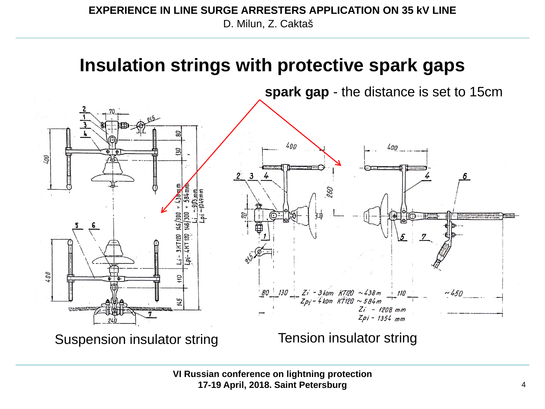#### D. Milun, Z. Caktaš **EXPERIENCE IN LINE SURGE ARRESTERS APPLICATION ON 35 kV LINE**

### **Insulation strings with protective spark gaps**

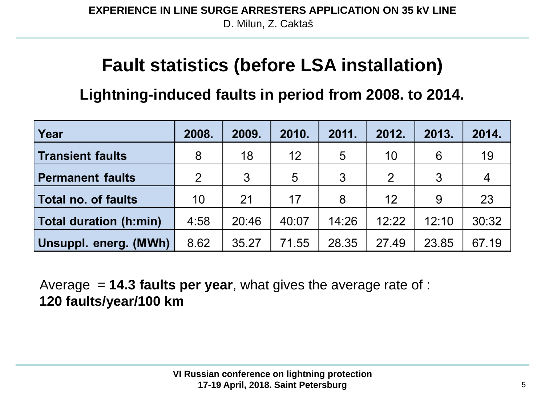## **Fault statistics (before LSA installation)**

**Lightning-induced faults in period from 2008. to 2014.**

| Year                    | 2008. | 2009. | 2010. | 2011. | 2012. | 2013. | 2014. |
|-------------------------|-------|-------|-------|-------|-------|-------|-------|
| Transient faults        | 8     | 18    | 12    | 5     | 10    | 6     | 19    |
| <b>Permanent faults</b> | 2     | 3     | 5     | 3     | 2     | 3     | 4     |
| Total no. of faults     | 10    | 21    | 17    | 8     | 12    | 9     | 23    |
| Total duration (h:min)  | 4:58  | 20:46 | 40:07 | 14:26 | 12:22 | 12:10 | 30:32 |
| Unsuppl. energ. (MWh)   | 8.62  | 35.27 | 71.55 | 28.35 | 27.49 | 23.85 | 67.19 |

Average = **14.3 faults per year**, what gives the average rate of : **120 faults/year/100 km**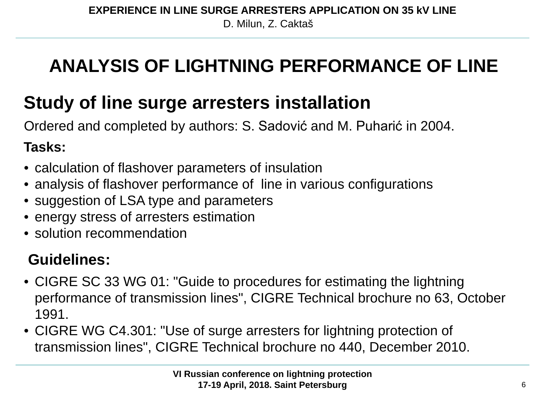# **ANALYSIS OF LIGHTNING PERFORMANCE OF LINE**

## **Study of line surge arresters installation**

Ordered and completed by authors: S. Sadović and M. Puharić in 2004.

### **Tasks:**

- calculation of flashover parameters of insulation
- analysis of flashover performance of line in various configurations
- suggestion of LSA type and parameters
- energy stress of arresters estimation
- solution recommendation

### **Guidelines:**

- CIGRE SC 33 WG 01: "Guide to procedures for estimating the lightning performance of transmission lines", CIGRE Technical brochure no 63, October 1991.
- CIGRE WG C4.301: "Use of surge arresters for lightning protection of transmission lines", CIGRE Technical brochure no 440, December 2010.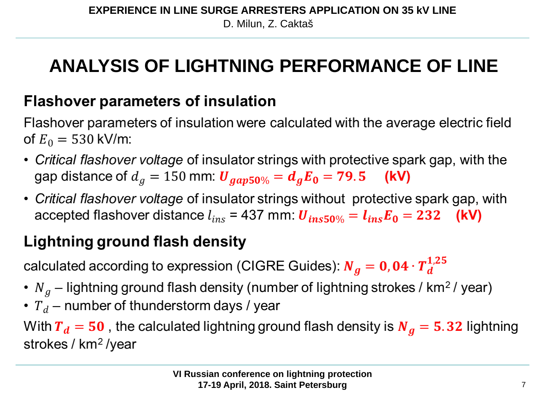# **ANALYSIS OF LIGHTNING PERFORMANCE OF LINE**

### **Flashover parameters of insulation**

Flashover parameters of insulation were calculated with the average electric field of  $E_0 = 530$  kV/m:

- Critical flashover voltage of insulator strings with protective spark gap, with the gap distance of  $d_g = 150$  mm:  $U_{gap50\%} = d_g E_0 = 79.5$  (kV)
- Critical flashover voltage of insulator strings without protective spark gap, with accepted flashover distance  $l_{ins}$  = 437 mm:  $\boldsymbol{U}_{ins50\%} = \boldsymbol{l}_{ins}\boldsymbol{E}_0 = 232$  (kV)

### **Lightning ground flash density**

calculated according to expression (CIGRE Guides):  $N_g = 0.04 \cdot T_d^{1.25}$ 

- $N_g$  lightning ground flash density (number of lightning strokes / km<sup>2</sup>/year)
- $T_d$  number of thunderstorm days / year

With  $T_d = 50$ , the calculated lightning ground flash density is  $N_g = 5.32$  lightning strokes / km<sup>2</sup> /year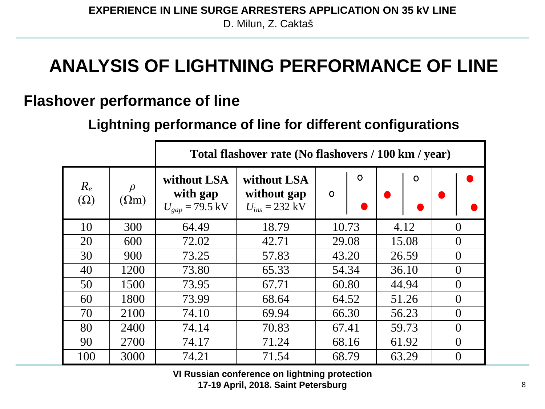## **ANALYSIS OF LIGHTNING PERFORMANCE OF LINE**

#### **Flashover performance of line**

#### **Lightning performance of line for different configurations**

|                     |                        | Total flashover rate (No flashovers / 100 km / year) |                                                          |                    |             |                |  |  |  |
|---------------------|------------------------|------------------------------------------------------|----------------------------------------------------------|--------------------|-------------|----------------|--|--|--|
| $R_e$<br>$(\Omega)$ | $\rho$<br>$(\Omega m)$ | without LSA<br>with gap<br>$U_{gap}$ = 79.5 kV       | without LSA<br>without gap<br>$U_{ins} = 232 \text{ kV}$ | $\circ$<br>$\circ$ | $\mathbf O$ |                |  |  |  |
| 10                  | 300                    | 64.49                                                | 18.79                                                    | 10.73              | 4.12        | $\theta$       |  |  |  |
| 20                  | 600                    | 72.02                                                | 42.71                                                    | 29.08              | 15.08       | $\overline{0}$ |  |  |  |
| 30                  | 900                    | 73.25                                                | 57.83                                                    | 43.20              | 26.59       | $\theta$       |  |  |  |
| 40                  | 1200                   | 73.80                                                | 65.33                                                    | 54.34              | 36.10       | $\overline{0}$ |  |  |  |
| 50                  | 1500                   | 73.95                                                | 67.71                                                    | 60.80              | 44.94       | $\theta$       |  |  |  |
| 60                  | 1800                   | 73.99                                                | 68.64                                                    | 64.52              | 51.26       | $\theta$       |  |  |  |
| 70                  | 2100                   | 74.10                                                | 69.94                                                    | 66.30              | 56.23       | $\overline{0}$ |  |  |  |
| 80                  | 2400                   | 74.14                                                | 70.83                                                    | 67.41              | 59.73       | $\theta$       |  |  |  |
| 90                  | 2700                   | 74.17                                                | 71.24                                                    | 68.16<br>61.92     |             | $\overline{0}$ |  |  |  |
| 100                 | 3000                   | 74.21                                                | 71.54                                                    | 68.79              | 63.29       | $\theta$       |  |  |  |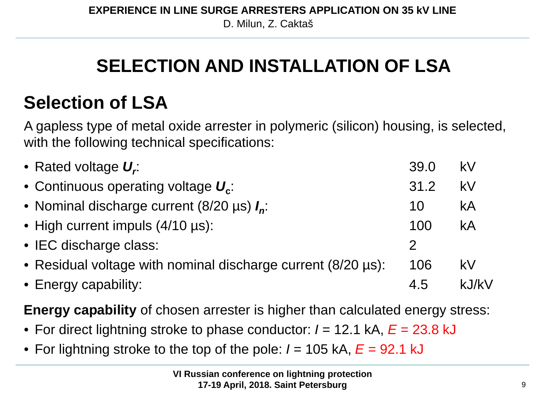# **SELECTION AND INSTALLATION OF LSA**

## **Selection of LSA**

A gapless type of metal oxide arrester in polymeric (silicon) housing, is selected, with the following technical specifications:

| • Rated voltage $U_r$ :                                      | 39.0         | kV    |
|--------------------------------------------------------------|--------------|-------|
| • Continuous operating voltage $U_{c}$ :                     | 31.2         | kV    |
| • Nominal discharge current (8/20 $\mu$ s) $I_n$ :           | 10           | kA    |
| • High current impuls (4/10 µs):                             | 100          | kA    |
| • IEC discharge class:                                       | $\mathcal P$ |       |
| • Residual voltage with nominal discharge current (8/20 µs): | 106          | kV    |
| • Energy capability:                                         | 4.5          | kJ/kV |

**Energy capability** of chosen arrester is higher than calculated energy stress:

- For direct lightning stroke to phase conductor: *I* = 12.1 kA,  $E = 23.8$  kJ
- For lightning stroke to the top of the pole: *I* = 105 kA,  $E = 92.1$  kJ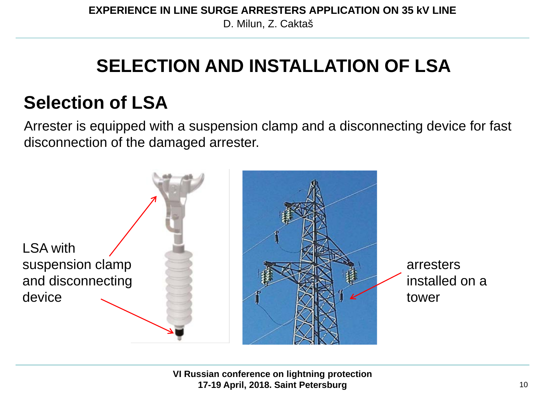## **SELECTION AND INSTALLATION OF LSA**

## **Selection of LSA**

Arrester is equipped with a suspension clamp and a disconnecting device for fast disconnection of the damaged arrester.

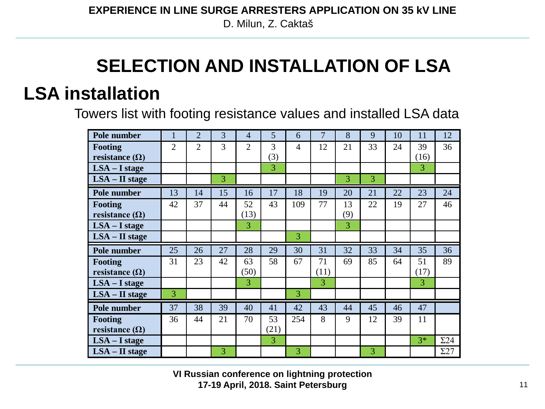D. Milun, Z. Caktaš

# **SELECTION AND INSTALLATION OF LSA**

## **LSA installation**

Towers list with footing resistance values and installed LSA data

| Pole number           |                | $\overline{2}$ | $\overline{3}$ | $\overline{4}$ | 5    | 6   | 7    | 8   | 9              | 10 | 11   | 12          |
|-----------------------|----------------|----------------|----------------|----------------|------|-----|------|-----|----------------|----|------|-------------|
| <b>Footing</b>        | $\overline{2}$ | $\overline{2}$ | 3              | $\overline{2}$ | 3    | 4   | 12   | 21  | 33             | 24 | 39   | 36          |
| resistance $(\Omega)$ |                |                |                |                | (3)  |     |      |     |                |    | (16) |             |
| $LSA - I stage$       |                |                |                |                | 3    |     |      |     |                |    | 3    |             |
| $LSA - II$ stage      |                |                | $\overline{3}$ |                |      |     |      | 3   | $\overline{3}$ |    |      |             |
| Pole number           | 13             | 14             | 15             | 16             | 17   | 18  | 19   | 20  | 21             | 22 | 23   | 24          |
| Footing               | 42             | 37             | 44             | 52             | 43   | 109 | 77   | 13  | 22             | 19 | 27   | 46          |
| resistance $(\Omega)$ |                |                |                | (13)           |      |     |      | (9) |                |    |      |             |
| $LSA - I stage$       |                |                |                | 3              |      |     |      | 3   |                |    |      |             |
| $LSA - II$ stage      |                |                |                |                |      | 3   |      |     |                |    |      |             |
|                       |                |                |                |                |      |     |      |     |                |    |      |             |
| Pole number           | 25             | 26             | 27             | 28             | 29   | 30  | 31   | 32  | 33             | 34 | 35   | 36          |
| <b>Footing</b>        | 31             | 23             | 42             | 63             | 58   | 67  | 71   | 69  | 85             | 64 | 51   | 89          |
| resistance $(\Omega)$ |                |                |                | (50)           |      |     | (11) |     |                |    | (17) |             |
| $LSA - I stage$       |                |                |                | 3              |      |     | 3    |     |                |    | 3    |             |
| $LSA - II$ stage      | 3              |                |                |                |      | 3   |      |     |                |    |      |             |
| Pole number           | 37             | 38             | 39             | 40             | 41   | 42  | 43   | 44  | 45             | 46 | 47   |             |
| <b>Footing</b>        | 36             | 44             | 21             | 70             | 53   | 254 | 8    | 9   | 12             | 39 | 11   |             |
| resistance $(\Omega)$ |                |                |                |                | (21) |     |      |     |                |    |      |             |
| $LSA - I stage$       |                |                |                |                | 3    |     |      |     |                |    | $3*$ | $\Sigma$ 24 |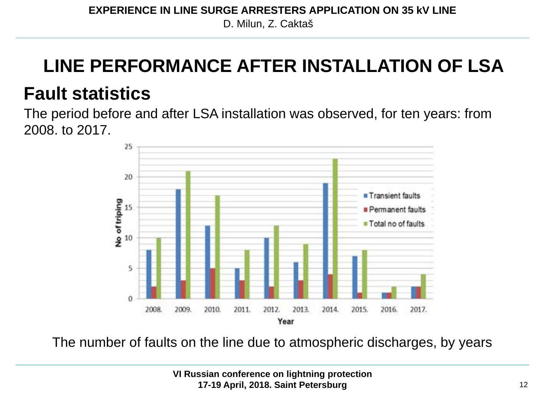# **LINE PERFORMANCE AFTER INSTALLATION OF LSA**

## **Fault statistics**

The period before and after LSA installation was observed, for ten years: from 2008. to 2017.



The number of faults on the line due to atmospheric discharges, by years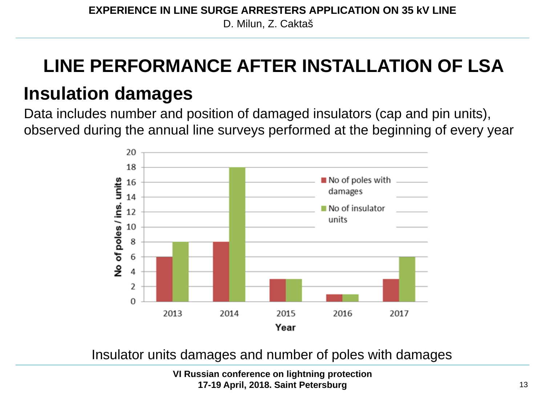## **LINE PERFORMANCE AFTER INSTALLATION OF LSA**

## **Insulation damages**

Data includes number and position of damaged insulators (cap and pin units), observed during the annual line surveys performed at the beginning of every year



Insulator units damages and number of poles with damages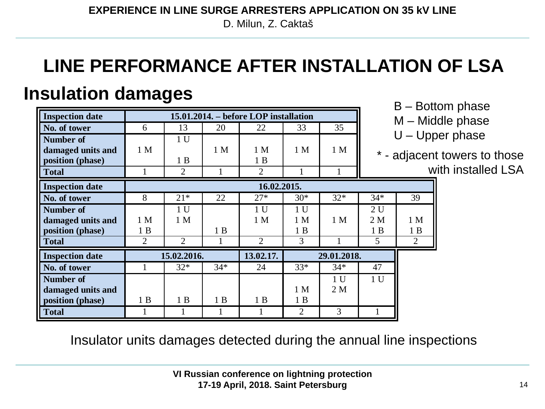D. Milun, Z. Caktaš

# **LINE PERFORMANCE AFTER INSTALLATION OF LSA**

## **Insulation damages**

| <b>Inspection date</b> | 15.01.2014. – before LOP installation |                |       |                |                |                |                | ٮ<br>— ∟       |  |  |
|------------------------|---------------------------------------|----------------|-------|----------------|----------------|----------------|----------------|----------------|--|--|
| No. of tower           | 6                                     | 13             | 20    | 22             | 33             | 35             |                |                |  |  |
| <b>Number</b> of       |                                       | 1 <sub>U</sub> |       |                |                |                |                |                |  |  |
| damaged units and      | 1 <sub>M</sub>                        |                | 1 M   | 1 M            | 1 <sub>M</sub> | 1 <sub>M</sub> |                |                |  |  |
| position (phase)       |                                       | 1B             |       | 1B             |                |                |                | - adjac        |  |  |
| <b>Total</b>           |                                       | 2              |       | 2              |                |                |                |                |  |  |
| <b>Inspection date</b> |                                       | 16.02.2015.    |       |                |                |                |                |                |  |  |
| No. of tower           | 8                                     | $21*$          | 22    | $27*$          | $30*$          | $32*$          | $34*$          | 39             |  |  |
| <b>Number of</b>       |                                       | 1 <sub>U</sub> |       | 1 <sub>U</sub> | 1 <sub>U</sub> |                | 2U             |                |  |  |
| damaged units and      | 1 M                                   | 1 M            |       | 1 <sub>M</sub> | 1 <sub>M</sub> | 1 M            | 2 M            | 1 <sub>N</sub> |  |  |
| position (phase)       | 1 B                                   |                | 1B    |                | 1B             |                | 1B             | 1F             |  |  |
| <b>Total</b>           | $\overline{2}$                        | $\overline{2}$ |       | $\overline{2}$ | 3              |                | 5              | $\overline{2}$ |  |  |
| <b>Inspection date</b> | 15.02.2016.                           |                |       | 13.02.17.      |                | 29.01.2018.    |                |                |  |  |
| No. of tower           |                                       | $32*$          | $34*$ | 24             | $33*$          | $34*$          | 47             |                |  |  |
| <b>Number of</b>       |                                       |                |       |                |                | 1 <sub>U</sub> | 1 <sub>U</sub> |                |  |  |
| damaged units and      |                                       |                |       |                | 1 M            | 2 M            |                |                |  |  |
| position (phase)       | 1B                                    | 1B             | 1B    | 1B             | 1B             |                |                |                |  |  |
| <b>Total</b>           |                                       |                |       |                | $\overline{2}$ | 3              |                |                |  |  |

B – Bottom phase

- Middle phase
- Upper phase

1 M 1 B

jacent towers to those with installed LSA

Insulator units damages detected during the annual line inspections